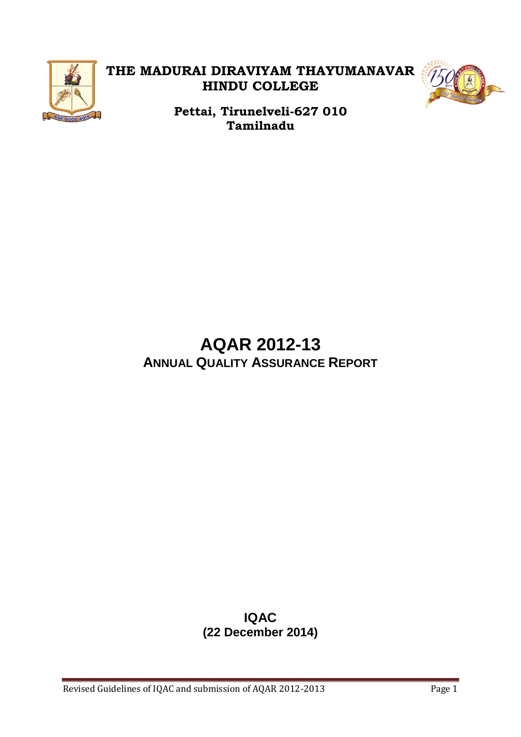

## **THE MADURAI DIRAVIYAM THAYUMANAVAR HINDU COLLEGE**



**Pettai, Tirunelveli-627 010 Tamilnadu**

## **AQAR 2012-13 ANNUAL QUALITY ASSURANCE REPORT**

## **IQAC (22 December 2014)**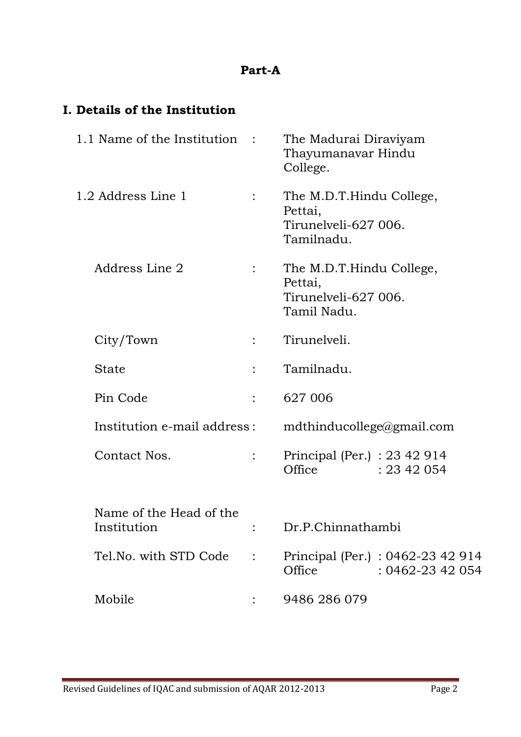#### **Part-A**

## **I. Details of the Institution**

| 1.1 Name of the Institution :          |                | The Madurai Diraviyam<br>Thayumanavar Hindu<br>College.                    |
|----------------------------------------|----------------|----------------------------------------------------------------------------|
| 1.2 Address Line 1                     | $\ddot{\cdot}$ | The M.D.T.Hindu College,<br>Pettai,<br>Tirunelyeli-627 006.<br>Tamilnadu.  |
| Address Line 2                         |                | The M.D.T.Hindu College,<br>Pettai,<br>Tirunelyeli-627 006.<br>Tamil Nadu. |
| City/Town                              |                | Tirunelveli.                                                               |
| <b>State</b>                           |                | Tamilnadu.                                                                 |
| Pin Code                               |                | 627 006                                                                    |
| Institution e-mail address:            |                | $mdt$ hinducollege@gmail.com                                               |
| Contact Nos.                           |                | Principal (Per.) : 23 42 914<br>Office<br>: 2342054                        |
| Name of the Head of the<br>Institution |                | Dr.P.Chinnathambi                                                          |
| Tel.No. with STD Code :                |                | Principal (Per.): 0462-23 42 914<br>Office<br>: 0462-23 42 054             |
| Mobile                                 |                | 9486 286 079                                                               |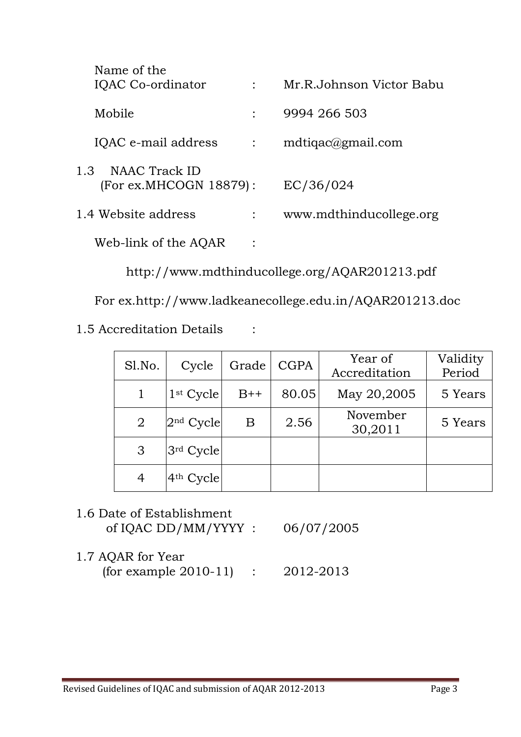| Name of the<br>IQAC Co-ordinator               |                | Mr.R.Johnson Victor Babu |
|------------------------------------------------|----------------|--------------------------|
| Mobile                                         |                | 9994 266 503             |
| IQAC e-mail address                            | $\ddot{\cdot}$ | mdtigac@gmail.com        |
| 1.3<br>NAAC Track ID<br>(For ex.MHCOGN 18879): |                | EC/36/024                |
| 1.4 Website address                            | $\ddot{\cdot}$ | www.mdthinducollege.org  |
| Web-link of the AQAR                           |                |                          |

http://www.mdthinducollege.org/AQAR201213.pdf

For ex.http://www.ladkeanecollege.edu.in/AQAR201213.doc

1.5 Accreditation Details :

| Sl.No.         | Cycle                 | Grade | <b>CGPA</b> | Year of<br>Accreditation | Validity<br>Period |
|----------------|-----------------------|-------|-------------|--------------------------|--------------------|
|                | $1st$ Cycle           | $B++$ | 80.05       | May 20,2005              | 5 Years            |
| $\overline{2}$ | $2nd$ Cycle           | Β     | 2.56        | November<br>30,2011      | 5 Years            |
| 3              | 3rd Cycle             |       |             |                          |                    |
| 4              | 4 <sup>th</sup> Cycle |       |             |                          |                    |

- 1.6 Date of Establishment of IQAC DD/MM/YYYY : 06/07/2005
- 1.7 AQAR for Year (for example 2010-11) : 2012-2013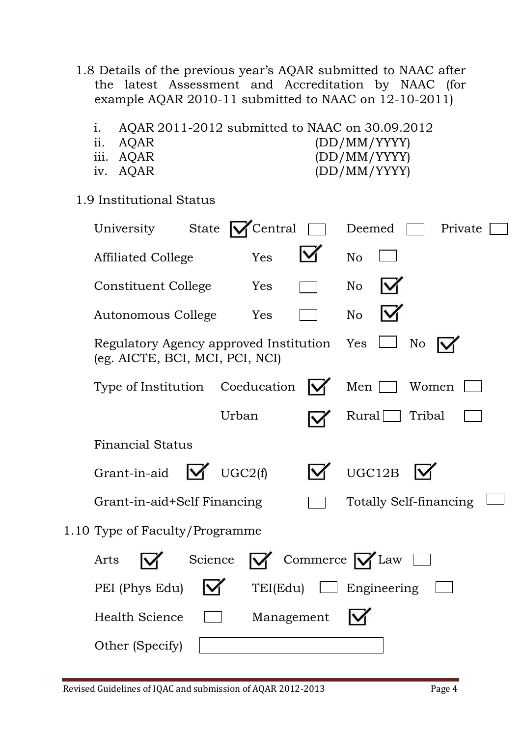- 1.8 Details of the previous year's AQAR submitted to NAAC after the latest Assessment and Accreditation by NAAC (for example AQAR 2010-11 submitted to NAAC on 12-10-2011)
	- i. AQAR 2011-2012 submitted to NAAC on 30.09.2012
	-
	-
	-
	- ii. AQAR (DD/MM/YYYY) iii. AQAR (DD/MM/YYYY)
	- iv. AQAR (DD/MM/YYYY)
- 

1.9 Institutional Status

| University            | State                                                                         | Central  |                               | Deemed             |                        | Private |  |
|-----------------------|-------------------------------------------------------------------------------|----------|-------------------------------|--------------------|------------------------|---------|--|
|                       | <b>Affiliated College</b>                                                     | Yes      |                               | N <sub>o</sub>     |                        |         |  |
|                       | <b>Constituent College</b>                                                    | Yes      |                               | N <sub>o</sub>     |                        |         |  |
|                       | Autonomous College                                                            | Yes      |                               | N <sub>o</sub>     |                        |         |  |
|                       | Regulatory Agency approved Institution Yes<br>(eg. AICTE, BCI, MCI, PCI, NCI) |          |                               |                    | No                     |         |  |
|                       | Type of Institution Coeducation                                               |          |                               | Men                | Women                  |         |  |
|                       |                                                                               | Urban    |                               | Rural              | Tribal                 |         |  |
|                       | <b>Financial Status</b>                                                       |          |                               |                    |                        |         |  |
| Grant-in-aid          | M                                                                             | UGC2(f)  |                               | UGC12B             |                        |         |  |
|                       | Grant-in-aid+Self Financing                                                   |          |                               |                    | Totally Self-financing |         |  |
|                       | 1.10 Type of Faculty/Programme                                                |          |                               |                    |                        |         |  |
| Arts                  | Science                                                                       |          | Commerce $\bigvee$ Law $\Box$ |                    |                        |         |  |
| PEI (Phys Edu)        |                                                                               | TEI(Edu) |                               | $\Box$ Engineering |                        |         |  |
| <b>Health Science</b> |                                                                               |          | Management                    |                    |                        |         |  |
| Other (Specify)       |                                                                               |          |                               |                    |                        |         |  |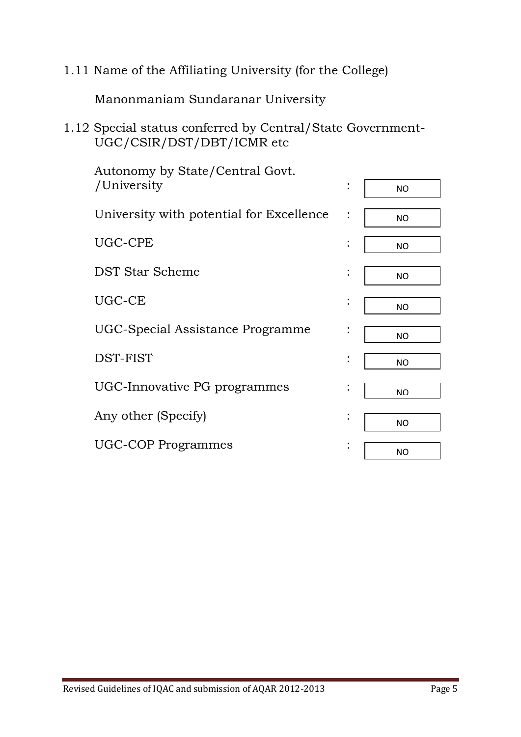1.11 Name of the Affiliating University (for the College)

Manonmaniam Sundaranar University

1.12 Special status conferred by Central/State Government-UGC/CSIR/DST/DBT/ICMR etc

| Autonomy by State/Central Govt.          |                |           |
|------------------------------------------|----------------|-----------|
| /University                              | $\ddot{\cdot}$ | <b>NO</b> |
| University with potential for Excellence |                | <b>NO</b> |
| UGC-CPE                                  | $\ddot{\cdot}$ | <b>NO</b> |
| <b>DST Star Scheme</b>                   | $\bullet$      | <b>NO</b> |
| UGC-CE                                   | $\bullet$      | <b>NO</b> |
| UGC-Special Assistance Programme         |                | <b>NO</b> |
| DST-FIST                                 |                | <b>NO</b> |
| UGC-Innovative PG programmes             |                | <b>NO</b> |
| Any other (Specify)                      | $\bullet$      | <b>NO</b> |
| <b>UGC-COP Programmes</b>                | $\bullet$      | <b>NO</b> |
|                                          |                |           |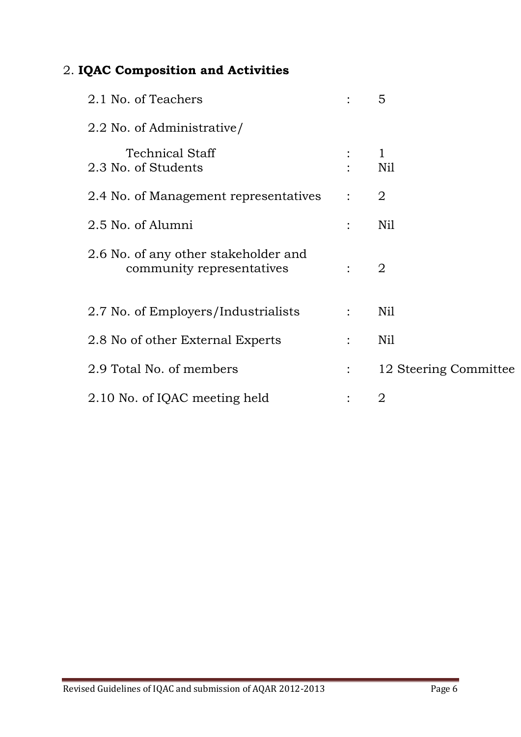## 2. **IQAC Composition and Activities**

| 2.1 No. of Teachers                                               |                | 5                     |
|-------------------------------------------------------------------|----------------|-----------------------|
| 2.2 No. of Administrative/                                        |                |                       |
| <b>Technical Staff</b><br>2.3 No. of Students                     |                | $\mathbf{1}$<br>Nil   |
| 2.4 No. of Management representatives                             | $\ddot{\cdot}$ | 2                     |
| 2.5 No. of Alumni                                                 |                | Nil                   |
| 2.6 No. of any other stakeholder and<br>community representatives |                | 2                     |
| 2.7 No. of Employers/Industrialists                               | $\ddot{\cdot}$ | Nil                   |
| 2.8 No of other External Experts                                  |                | Nil                   |
| 2.9 Total No. of members                                          |                | 12 Steering Committee |
| 2.10 No. of IQAC meeting held                                     |                | $\overline{2}$        |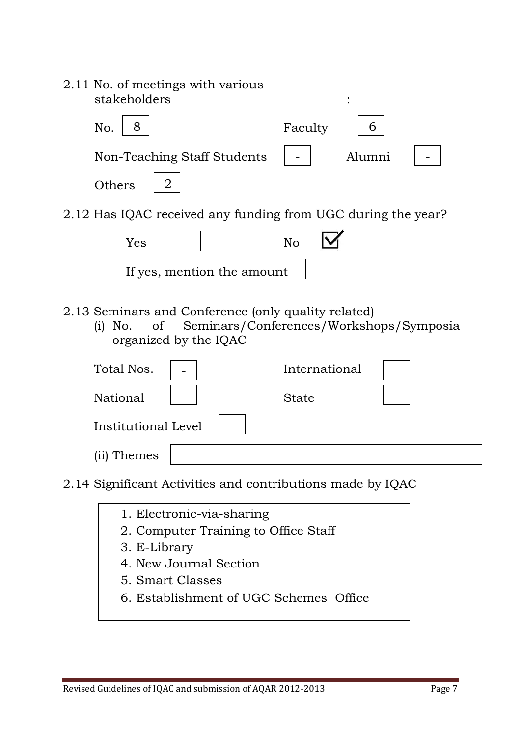| 2.11 No. of meetings with various<br>stakeholders                                                           |                                         |
|-------------------------------------------------------------------------------------------------------------|-----------------------------------------|
| 8<br>No.                                                                                                    | Faculty<br>6                            |
| Non-Teaching Staff Students                                                                                 | Alumni                                  |
| 2<br>Others                                                                                                 |                                         |
| 2.12 Has IQAC received any funding from UGC during the year?                                                |                                         |
| Yes                                                                                                         | <b>No</b>                               |
| If yes, mention the amount                                                                                  |                                         |
| 2.13 Seminars and Conference (only quality related)<br>No.<br><sub>of</sub><br>(i)<br>organized by the IQAC | Seminars/Conferences/Workshops/Symposia |
| Total Nos.                                                                                                  | International                           |
| <b>National</b>                                                                                             | <b>State</b>                            |
| Institutional Level                                                                                         |                                         |
| (ii) Themes                                                                                                 |                                         |
| 2.14 Significant Activities and contributions made by IQAC                                                  |                                         |
| 1. Electronic-via-sharing                                                                                   |                                         |

- 2. Computer Training to Office Staff
- 3. E-Library
- 4. New Journal Section
- 5. Smart Classes
- 6. Establishment of UGC Schemes Office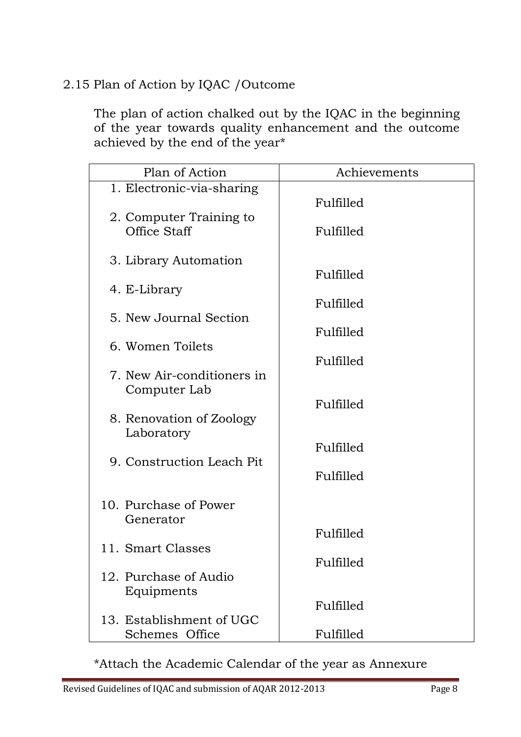## 2.15 Plan of Action by IQAC /Outcome

The plan of action chalked out by the IQAC in the beginning of the year towards quality enhancement and the outcome achieved by the end of the year\*

| Plan of Action             | Achievements |
|----------------------------|--------------|
| 1. Electronic-via-sharing  |              |
| 2. Computer Training to    | Fulfilled    |
| <b>Office Staff</b>        | Fulfilled    |
| 3. Library Automation      |              |
|                            | Fulfilled    |
| 4. E-Library               | Fulfilled    |
| 5. New Journal Section     |              |
|                            | Fulfilled    |
| 6. Women Toilets           | Fulfilled    |
| 7. New Air-conditioners in |              |
| Computer Lab               | Fulfilled    |
| 8. Renovation of Zoology   |              |
| Laboratory                 |              |
| 9. Construction Leach Pit  | Fulfilled    |
|                            | Fulfilled    |
| 10. Purchase of Power      |              |
| Generator                  |              |
|                            | Fulfilled    |
| 11. Smart Classes          | Fulfilled    |
| 12. Purchase of Audio      |              |
| Equipments                 |              |
| 13. Establishment of UGC   | Fulfilled    |
| Schemes Office             | Fulfilled    |

\*Attach the Academic Calendar of the year as Annexure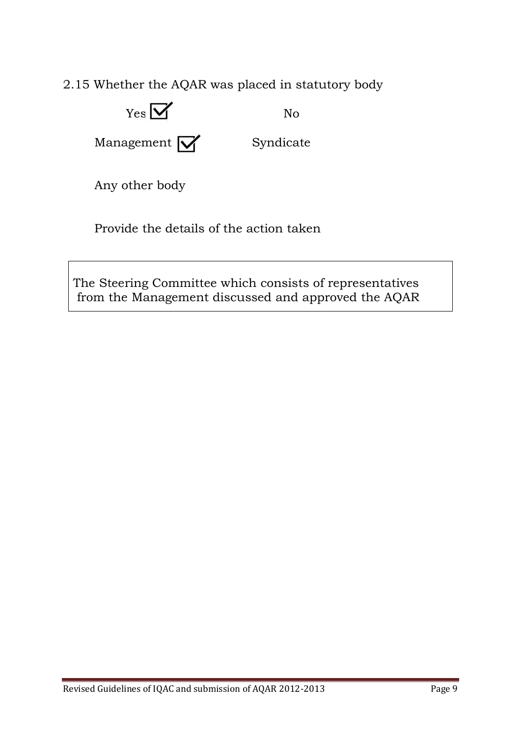2.15 Whether the AQAR was placed in statutory body



Provide the details of the action taken

The Steering Committee which consists of representatives from the Management discussed and approved the AQAR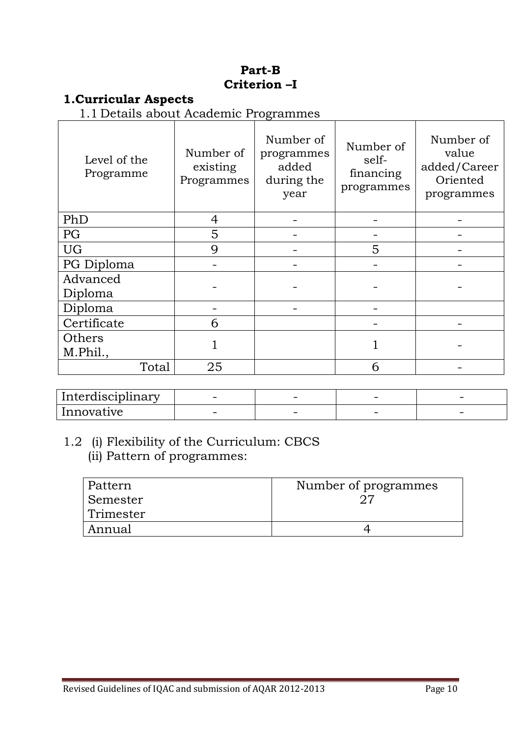#### **Part-B Criterion –I**

#### **1.Curricular Aspects**

1.1 Details about Academic Programmes

| Level of the<br>Programme | Number of<br>existing<br>Programmes | Number of<br>programmes<br>added<br>during the<br>year | Number of<br>self-<br>financing<br>programmes | Number of<br>value<br>added/Career<br>Oriented<br>programmes |
|---------------------------|-------------------------------------|--------------------------------------------------------|-----------------------------------------------|--------------------------------------------------------------|
| PhD                       | 4                                   |                                                        |                                               |                                                              |
| PG                        | 5                                   |                                                        |                                               |                                                              |
| <b>UG</b>                 | $\mathbf Q$                         |                                                        | 5                                             |                                                              |
| PG Diploma                |                                     |                                                        |                                               |                                                              |
| Advanced<br>Diploma       |                                     |                                                        |                                               |                                                              |
| Diploma                   |                                     |                                                        |                                               |                                                              |
| Certificate               | 6                                   |                                                        |                                               |                                                              |
| Others<br>M.Phil.,        |                                     |                                                        |                                               |                                                              |
| Total                     | 25                                  |                                                        | 6                                             |                                                              |

| Interdisciplinary | $\overline{\phantom{0}}$ | -                        | $\overline{\phantom{0}}$ |  |
|-------------------|--------------------------|--------------------------|--------------------------|--|
| Innova<br>ltive   | $\overline{\phantom{a}}$ | $\overline{\phantom{a}}$ | $\overline{\phantom{0}}$ |  |

## 1.2 (i) Flexibility of the Curriculum: CBCS (ii) Pattern of programmes:

| Pattern   | Number of programmes |
|-----------|----------------------|
| ⊦Semester |                      |
| Trimester |                      |
| Annual    |                      |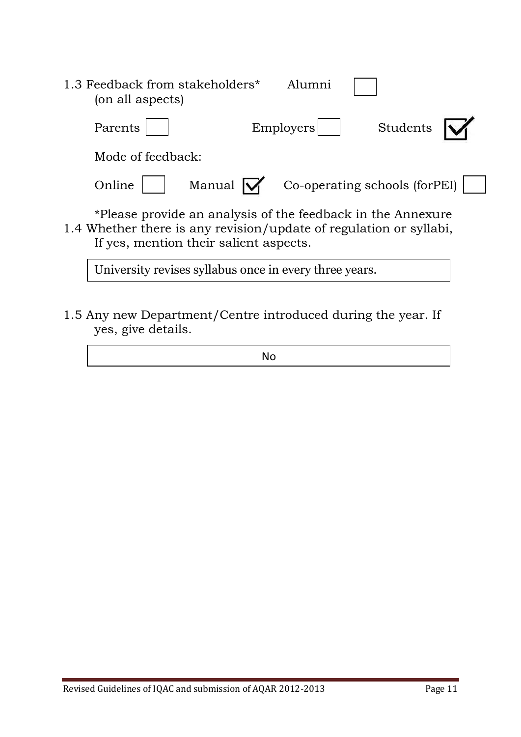| 1.3 Feedback from stakeholders*<br>(on all aspects)                |                                                                                                       | Alumni    |                               |  |
|--------------------------------------------------------------------|-------------------------------------------------------------------------------------------------------|-----------|-------------------------------|--|
| Parents                                                            |                                                                                                       | Employers | Students                      |  |
| Mode of feedback:                                                  |                                                                                                       |           |                               |  |
| Online                                                             | Manual $\mathsf{W}$                                                                                   |           | Co-operating schools (forPEI) |  |
| 1.4 Whether there is any revision/update of regulation or syllabi, | *Please provide an analysis of the feedback in the Annexure<br>If yes, mention their salient aspects. |           |                               |  |

University revises syllabus once in every three years.

1.5 Any new Department/Centre introduced during the year. If yes, give details.

No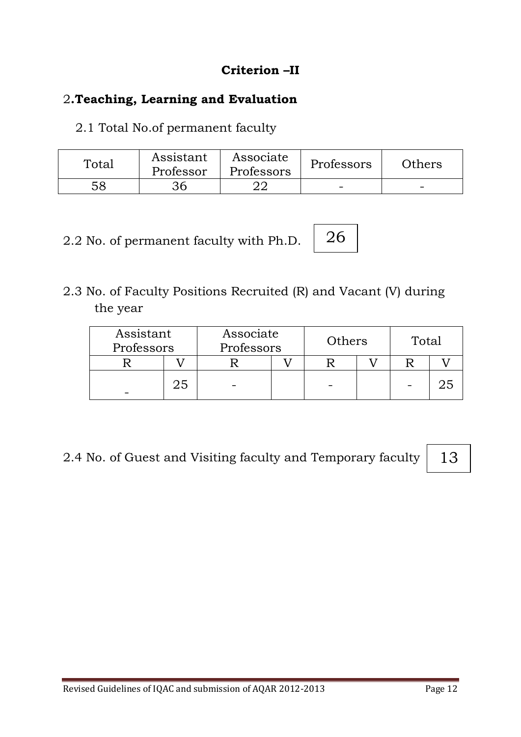## **Criterion –II**

## 2**.Teaching, Learning and Evaluation**

2.1 Total No.of permanent faculty

| Total | Assistant<br>Professor | Associate<br>Professors | Professors | Others |
|-------|------------------------|-------------------------|------------|--------|
| 58    | 36                     |                         | -          | -      |

2.2 No. of permanent faculty with Ph.D.

2.3 No. of Faculty Positions Recruited (R) and Vacant (V) during the year

|  | Associate<br>Professors |  | Assistant<br>Professors |  | Others | Total |  |
|--|-------------------------|--|-------------------------|--|--------|-------|--|
|  |                         |  |                         |  |        |       |  |
|  | 25                      |  |                         |  |        |       |  |

26

2.4 No. of Guest and Visiting faculty and Temporary faculty

13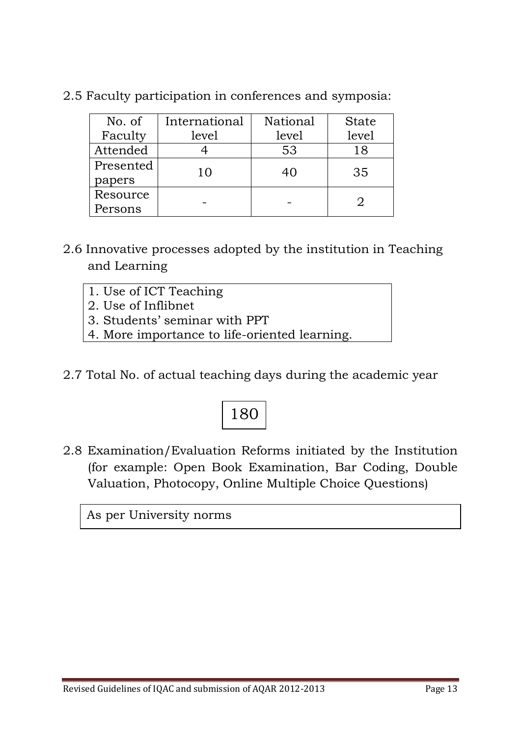| No. of    | International | National | <b>State</b> |
|-----------|---------------|----------|--------------|
| Faculty   | level         | level    | level        |
| Attended  |               | 53       | 18           |
| Presented | 10            | 40       | 35           |
| papers    |               |          |              |
| Resource  |               |          |              |
| Persons   |               |          |              |

2.5 Faculty participation in conferences and symposia:

- 2.6 Innovative processes adopted by the institution in Teaching and Learning
	- 1. Use of ICT Teaching
	- 2. Use of Inflibnet
	- 3. Students' seminar with PPT
	- 4. More importance to life-oriented learning.
- 2.7 Total No. of actual teaching days during the academic year

# 180

2.8 Examination/Evaluation Reforms initiated by the Institution (for example: Open Book Examination, Bar Coding, Double Valuation, Photocopy, Online Multiple Choice Questions)

As per University norms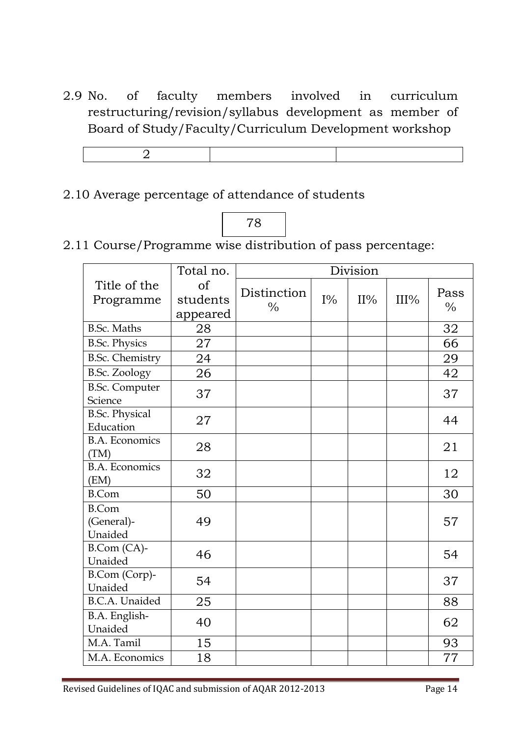2.9 No. of faculty members involved in curriculum restructuring/revision/syllabus development as member of Board of Study/Faculty/Curriculum Development workshop

#### 2.10 Average percentage of attendance of students



2.11 Course/Programme wise distribution of pass percentage:

|                                       | Total no.                  | Division                     |       |        |      |                       |
|---------------------------------------|----------------------------|------------------------------|-------|--------|------|-----------------------|
| Title of the<br>Programme             | of<br>students<br>appeared | Distinction<br>$\frac{0}{0}$ | $I\%$ | $II\%$ | III% | Pass<br>$\frac{0}{0}$ |
| <b>B.Sc. Maths</b>                    | 28                         |                              |       |        |      | 32                    |
| <b>B.Sc. Physics</b>                  | 27                         |                              |       |        |      | 66                    |
| <b>B.Sc. Chemistry</b>                | 24                         |                              |       |        |      | 29                    |
| <b>B.Sc. Zoology</b>                  | 26                         |                              |       |        |      | 42                    |
| <b>B.Sc. Computer</b><br>Science      | 37                         |                              |       |        |      | 37                    |
| <b>B.Sc. Physical</b><br>Education    | 27                         |                              |       |        |      | 44                    |
| <b>B.A. Economics</b><br>(TM)         | 28                         |                              |       |        |      | 21                    |
| <b>B.A. Economics</b><br>(EM)         | 32                         |                              |       |        |      | 12                    |
| <b>B.Com</b>                          | 50                         |                              |       |        |      | 30                    |
| <b>B.Com</b><br>(General)-<br>Unaided | 49                         |                              |       |        |      | 57                    |
| B.Com (CA)-<br>Unaided                | 46                         |                              |       |        |      | 54                    |
| B.Com (Corp)-<br>Unaided              | 54                         |                              |       |        |      | 37                    |
| <b>B.C.A.</b> Unaided                 | 25                         |                              |       |        |      | 88                    |
| B.A. English-<br>Unaided              | 40                         |                              |       |        |      | 62                    |
| M.A. Tamil                            | 15                         |                              |       |        |      | 93                    |
| M.A. Economics                        | 18                         |                              |       |        |      | 77                    |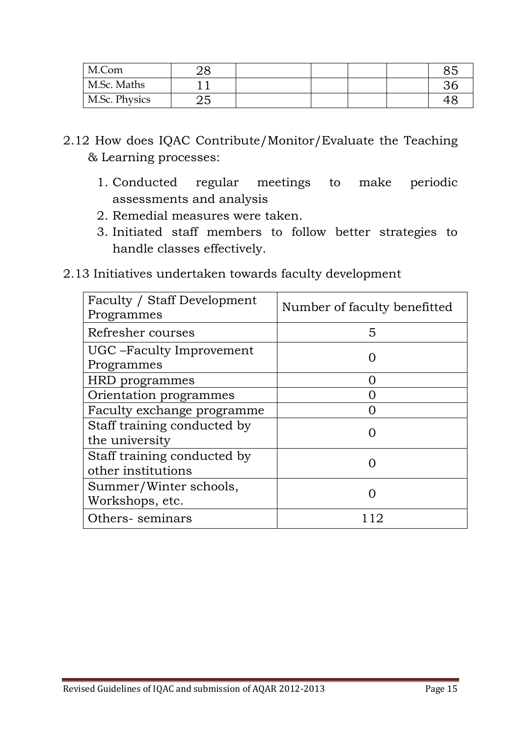| M.Com         |    |  |  | 85 |
|---------------|----|--|--|----|
| M.Sc. Maths   |    |  |  | 36 |
| M.Sc. Physics | ∠ວ |  |  |    |

- 2.12 How does IQAC Contribute/Monitor/Evaluate the Teaching & Learning processes:
	- 1. Conducted regular meetings to make periodic assessments and analysis
	- 2. Remedial measures were taken.
	- 3. Initiated staff members to follow better strategies to handle classes effectively.
- 2.13 Initiatives undertaken towards faculty development

| Faculty / Staff Development<br>Programmes         | Number of faculty benefitted |
|---------------------------------------------------|------------------------------|
| Refresher courses                                 | 5                            |
| UGC – Faculty Improvement<br>Programmes           |                              |
| HRD programmes                                    |                              |
| Orientation programmes                            |                              |
| Faculty exchange programme                        |                              |
| Staff training conducted by<br>the university     |                              |
| Staff training conducted by<br>other institutions |                              |
| Summer/Winter schools,<br>Workshops, etc.         |                              |
| Others-seminars                                   |                              |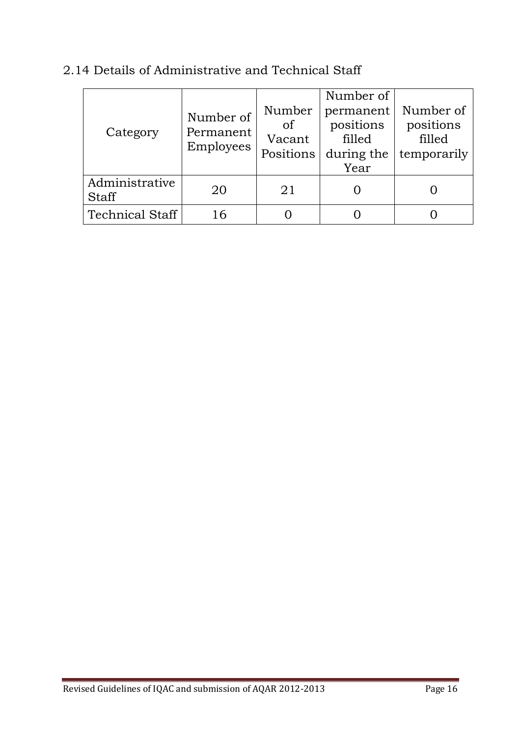| Category                       | Number of<br>Permanent<br>Employees | Number<br>of<br>Vacant<br>Positions | Number of<br>permanent<br>positions<br>filled<br>during the<br>Year | Number of<br>positions<br>filled<br>temporarily |
|--------------------------------|-------------------------------------|-------------------------------------|---------------------------------------------------------------------|-------------------------------------------------|
| Administrative<br><b>Staff</b> | 20                                  | 21                                  |                                                                     |                                                 |
| <b>Technical Staff</b>         | 16                                  |                                     |                                                                     |                                                 |

## 2.14 Details of Administrative and Technical Staff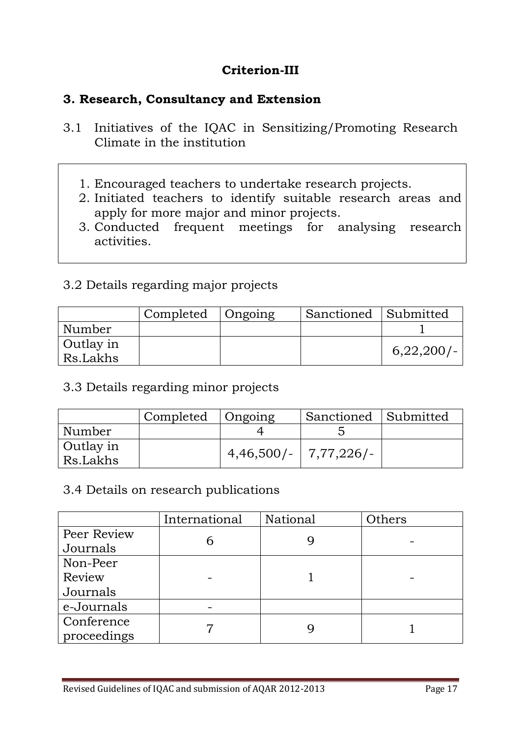## **Criterion-III**

#### **3. Research, Consultancy and Extension**

- 3.1 Initiatives of the IQAC in Sensitizing/Promoting Research Climate in the institution
	- 1. Encouraged teachers to undertake research projects.
	- 2. Initiated teachers to identify suitable research areas and apply for more major and minor projects.
	- 3. Conducted frequent meetings for analysing research activities.

## 3.2 Details regarding major projects

|           | Completed | Ongoing | Sanctioned Submitted |           |
|-----------|-----------|---------|----------------------|-----------|
| Number    |           |         |                      |           |
| Outlay in |           |         |                      |           |
| Rs.Lakhs  |           |         |                      | 6,22,200/ |

#### 3.3 Details regarding minor projects

|                       | Completed   Ongoing |                          | Sanctioned Submitted |  |
|-----------------------|---------------------|--------------------------|----------------------|--|
| Number                |                     |                          |                      |  |
| Outlay in<br>Rs.Lakhs |                     | $4,46,500/ -$ 7,77,226/- |                      |  |

#### 3.4 Details on research publications

|             | International | National | Others |
|-------------|---------------|----------|--------|
| Peer Review |               |          |        |
| Journals    | n             |          |        |
| Non-Peer    |               |          |        |
| Review      |               |          |        |
| Journals    |               |          |        |
| e-Journals  |               |          |        |
| Conference  |               |          |        |
| proceedings |               |          |        |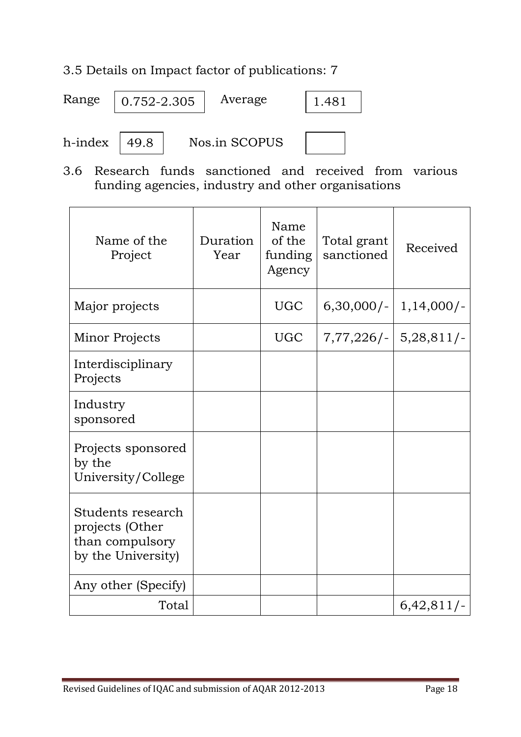## 3.5 Details on Impact factor of publications: 7

| Range   | 0.752-2.305 | Average       | 1.481 |  |
|---------|-------------|---------------|-------|--|
| h-index | 49.8        | Nos.in SCOPUS |       |  |

3.6 Research funds sanctioned and received from various funding agencies, industry and other organisations

| Name of the<br>Project                                                        | Duration<br>Year | Name<br>of the<br>funding<br>Agency | Total grant<br>sanctioned | Received                |
|-------------------------------------------------------------------------------|------------------|-------------------------------------|---------------------------|-------------------------|
| Major projects                                                                |                  | <b>UGC</b>                          | $6,30,000/-$              | $1,14,000/-$            |
| Minor Projects                                                                |                  | <b>UGC</b>                          |                           | $7,77,226/-$ 5,28,811/- |
| Interdisciplinary<br>Projects                                                 |                  |                                     |                           |                         |
| Industry<br>sponsored                                                         |                  |                                     |                           |                         |
| Projects sponsored<br>by the<br>University/College                            |                  |                                     |                           |                         |
| Students research<br>projects (Other<br>than compulsory<br>by the University) |                  |                                     |                           |                         |
| Any other (Specify)                                                           |                  |                                     |                           |                         |
| Total                                                                         |                  |                                     |                           | $6,42,811/-$            |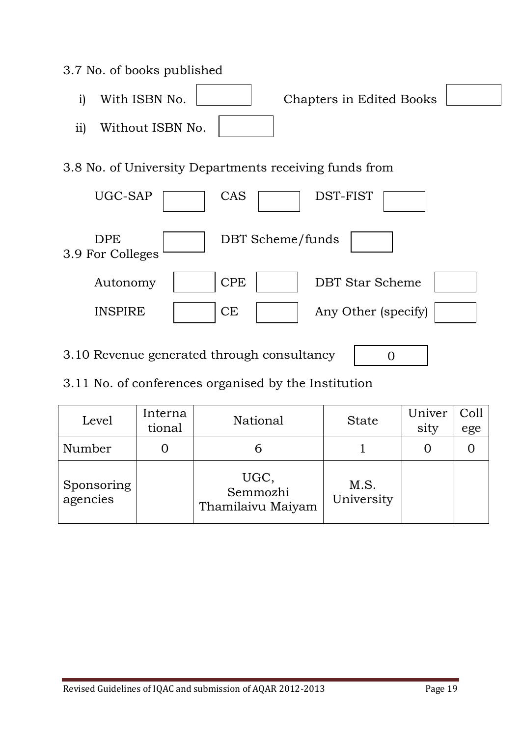#### 3.7 No. of books published

i) With ISBN No. Chapters in Edited Books ii) Without ISBN No.

3.8 No. of University Departments receiving funds from



3.10 Revenue generated through consultancy

 $\Omega$ 

3.11 No. of conferences organised by the Institution

| Level                  | Interna<br>tional | National                              | <b>State</b>       | Univer<br>sity | Coll<br>ege |
|------------------------|-------------------|---------------------------------------|--------------------|----------------|-------------|
| Number                 |                   |                                       |                    |                |             |
| Sponsoring<br>agencies |                   | UGC,<br>Semmozhi<br>Thamilaivu Maiyam | M.S.<br>University |                |             |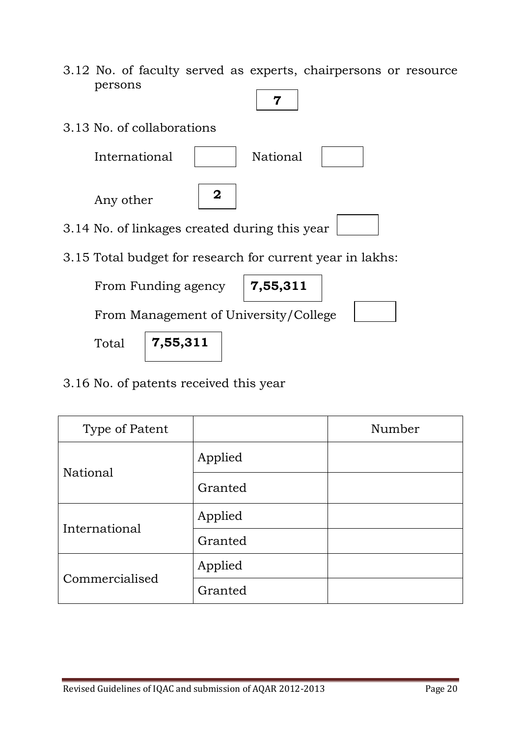- 3.12 No. of faculty served as experts, chairpersons or resource persons
- 3.13 No. of collaborations International | National Any other 3.14 No. of linkages created during this year 3.15 Total budget for research for current year in lakhs: From Funding agency From Management of University/College **7 2 7,55,311**

Total

**7,55,311**

3.16 No. of patents received this year

| Type of Patent |         | Number |
|----------------|---------|--------|
|                | Applied |        |
| National       | Granted |        |
| International  | Applied |        |
|                | Granted |        |
| Commercialised | Applied |        |
|                | Granted |        |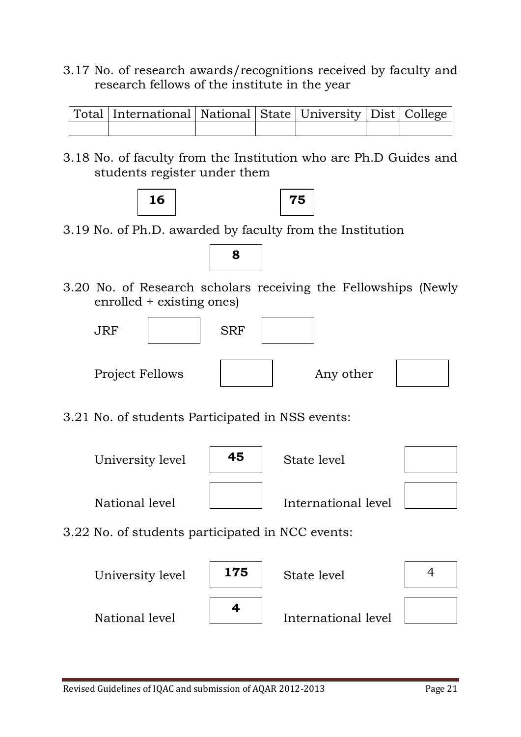3.17 No. of research awards/recognitions received by faculty and research fellows of the institute in the year

| Total   International   National   State   University   Dist   College |  |  |  |
|------------------------------------------------------------------------|--|--|--|
|                                                                        |  |  |  |

3.18 No. of faculty from the Institution who are Ph.D Guides and students register under them





3.19 No. of Ph.D. awarded by faculty from the Institution



3.20 No. of Research scholars receiving the Fellowships (Newly enrolled + existing ones)



3.21 No. of students Participated in NSS events:



3.22 No. of students participated in NCC events:

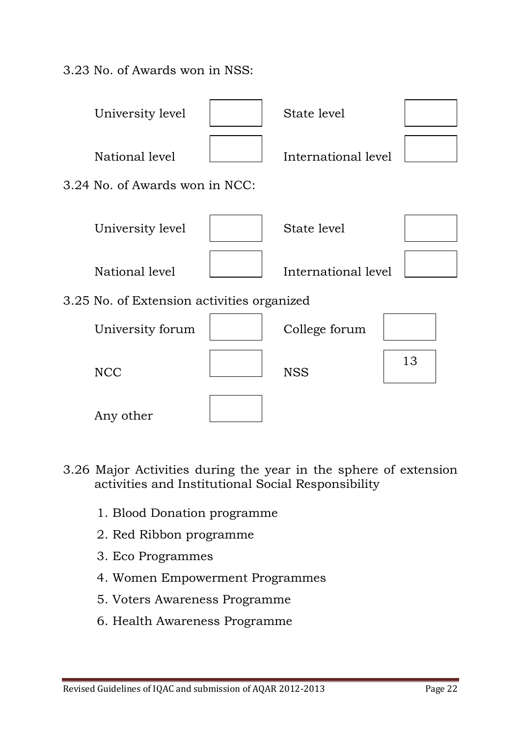3.23 No. of Awards won in NSS:



- 3.26 Major Activities during the year in the sphere of extension activities and Institutional Social Responsibility
	- 1. Blood Donation programme
	- 2. Red Ribbon programme
	- 3. Eco Programmes
	- 4. Women Empowerment Programmes
	- 5. Voters Awareness Programme
	- 6. Health Awareness Programme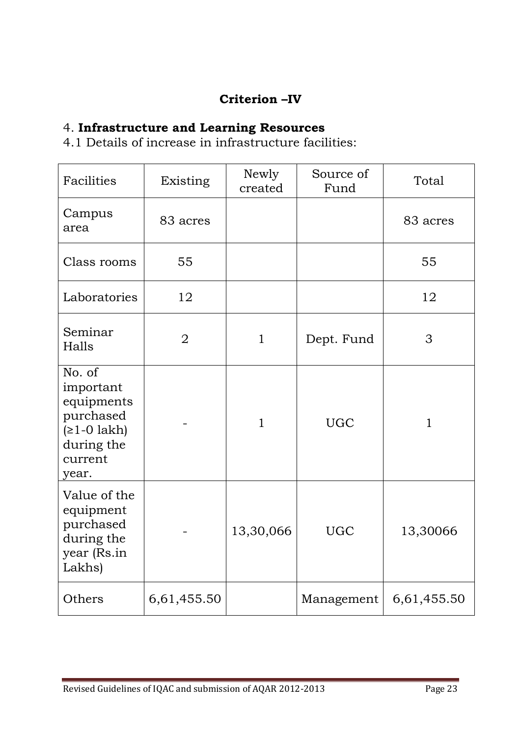## **Criterion –IV**

## 4. **Infrastructure and Learning Resources**

4.1 Details of increase in infrastructure facilities:

| Facilities                                                                                        | Existing       | Newly<br>created | Source of<br>Fund | Total        |
|---------------------------------------------------------------------------------------------------|----------------|------------------|-------------------|--------------|
| Campus<br>area                                                                                    | 83 acres       |                  |                   | 83 acres     |
| Class rooms                                                                                       | 55             |                  |                   | 55           |
| Laboratories                                                                                      | 12             |                  |                   | 12           |
| Seminar<br>Halls                                                                                  | $\overline{2}$ | $\mathbf{1}$     | Dept. Fund        | 3            |
| No. of<br>important<br>equipments<br>purchased<br>$(≥1-0$ lakh)<br>during the<br>current<br>year. |                | $\mathbf{1}$     | <b>UGC</b>        | $\mathbf{1}$ |
| Value of the<br>equipment<br>purchased<br>during the<br>year (Rs.in<br>Lakhs)                     |                | 13,30,066        | <b>UGC</b>        | 13,30066     |
| Others                                                                                            | 6,61,455.50    |                  | Management        | 6,61,455.50  |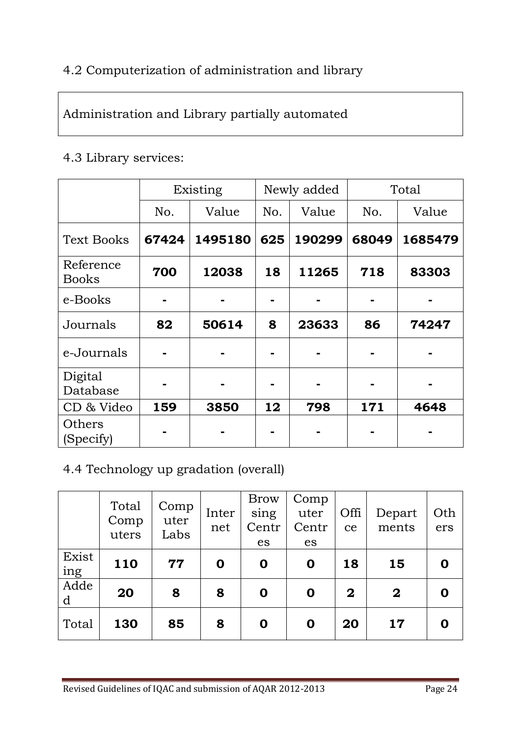## 4.2 Computerization of administration and library

## Administration and Library partially automated

#### 4.3 Library services:

|                           |       | Existing |     | Newly added | Total |         |  |
|---------------------------|-------|----------|-----|-------------|-------|---------|--|
|                           | No.   | Value    | No. | Value       | No.   | Value   |  |
| <b>Text Books</b>         | 67424 | 1495180  | 625 | 190299      | 68049 | 1685479 |  |
| Reference<br><b>Books</b> | 700   | 12038    | 18  | 11265       | 718   | 83303   |  |
| e-Books                   |       |          |     |             |       |         |  |
| Journals                  | 82    | 50614    | 8   | 23633       | 86    | 74247   |  |
| e-Journals                |       |          |     |             |       |         |  |
| Digital<br>Database       |       |          |     |             |       |         |  |
| CD & Video                | 159   | 3850     | 12  | 798         | 171   | 4648    |  |
| Others<br>(Specify)       |       |          |     |             |       |         |  |

## 4.4 Technology up gradation (overall)

|              | Total<br>Comp<br>uters | Comp<br>uter<br>Labs | Inter<br>net | <b>Brow</b><br>sing<br>Centr<br>es | Comp<br>uter<br>Centr<br>es | Offi<br>ce   | Depart<br>ments | Oth<br>ers |
|--------------|------------------------|----------------------|--------------|------------------------------------|-----------------------------|--------------|-----------------|------------|
| Exist<br>ing | <b>110</b>             | 77                   | $\mathbf 0$  | $\mathbf 0$                        | $\mathbf 0$                 | 18           | 15              | 0          |
| Adde<br>d    | 20                     | 8                    | 8            | $\mathbf 0$                        | $\mathbf 0$                 | $\mathbf{2}$ | $\mathbf 2$     |            |
| Total        | 130                    | 85                   | 8            | $\mathbf 0$                        | $\mathbf 0$                 | 20           | 17              |            |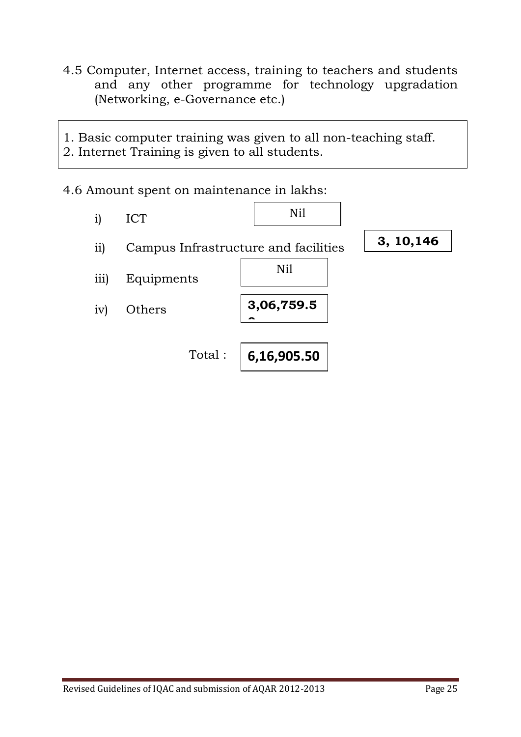4.5 Computer, Internet access, training to teachers and students and any other programme for technology upgradation (Networking, e-Governance etc.)

1. Basic computer training was given to all non-teaching staff. 2. Internet Training is given to all students.

4.6 Amount spent on maintenance in lakhs:

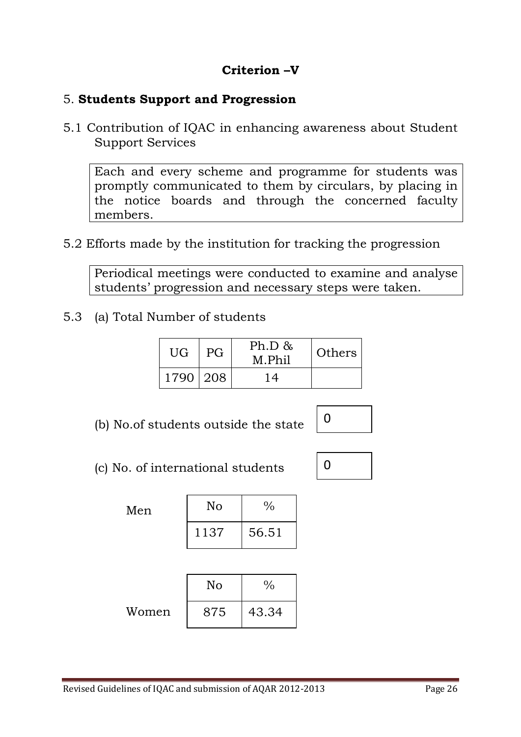## **Criterion –V**

#### 5. **Students Support and Progression**

5.1 Contribution of IQAC in enhancing awareness about Student Support Services

Each and every scheme and programme for students was promptly communicated to them by circulars, by placing in the notice boards and through the concerned faculty members.

5.2 Efforts made by the institution for tracking the progression

Periodical meetings were conducted to examine and analyse students' progression and necessary steps were taken.

5.3 (a) Total Number of students

| UG         | <b>PG</b> | Ph.D &<br><b>Others</b><br>M.Phil |  |
|------------|-----------|-----------------------------------|--|
| 1790   208 |           | 14                                |  |

(b) No.of students outside the state



 $\Omega$ 

(c) No. of international students

Men

| No   | $\frac{0}{0}$ |
|------|---------------|
| 1137 | 56.51         |

|       | No  | ∕∩    |
|-------|-----|-------|
| Women | 875 | 43.34 |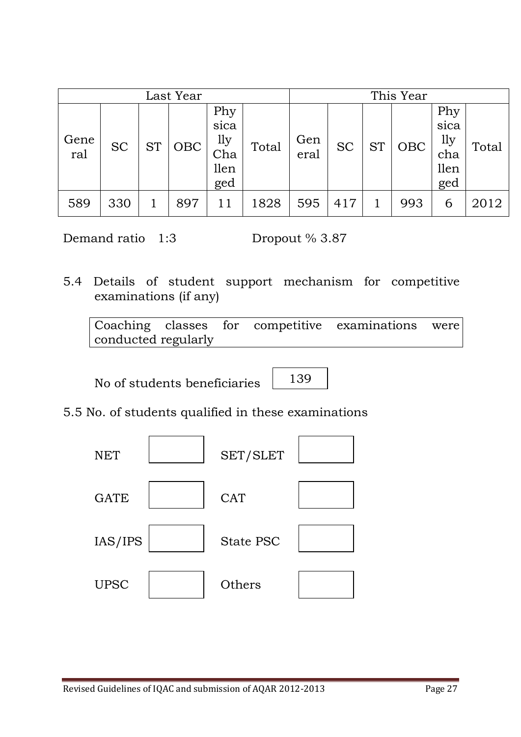| Last Year   |           |           |            |                                          |       |             |           | This Year |            |                                          |       |
|-------------|-----------|-----------|------------|------------------------------------------|-------|-------------|-----------|-----------|------------|------------------------------------------|-------|
| Gene<br>ral | <b>SC</b> | <b>ST</b> | <b>OBC</b> | Phy<br>sica<br>1ly<br>Cha<br>llen<br>ged | Total | Gen<br>eral | <b>SC</b> | <b>ST</b> | <b>OBC</b> | Phy<br>sica<br>lly<br>cha<br>llen<br>ged | Total |
| 589         | 330       |           | 897        |                                          | 1828  | 595         | 417       |           | 993        | 6                                        | 2012  |

Demand ratio 1:3 Dropout % 3.87

5.4 Details of student support mechanism for competitive examinations (if any)

Coaching classes for competitive examinations were conducted regularly

No of students beneficiaries

139

5.5 No. of students qualified in these examinations

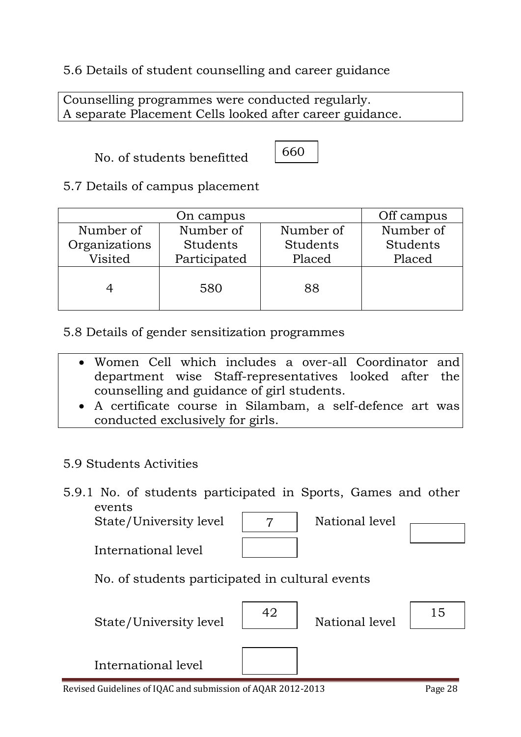## 5.6 Details of student counselling and career guidance

Counselling programmes were conducted regularly. A separate Placement Cells looked after career guidance.

No. of students benefitted



5.7 Details of campus placement

|               | Off campus   |           |           |
|---------------|--------------|-----------|-----------|
| Number of     | Number of    | Number of | Number of |
| Organizations | Students     | Students  | Students  |
| Visited       | Participated | Placed    | Placed    |
|               | 580          | 88        |           |

5.8 Details of gender sensitization programmes

- Women Cell which includes a over-all Coordinator and department wise Staff-representatives looked after the counselling and guidance of girl students.
- A certificate course in Silambam, a self-defence art was conducted exclusively for girls.

## 5.9 Students Activities

5.9.1 No. of students participated in Sports, Games and other events

7

State/University level | 7 | National level

International level

| Natio |
|-------|
|       |

No. of students participated in cultural events

State/University level  $\begin{vmatrix} 42 \end{vmatrix}$ 

National level  $\begin{vmatrix} 15 \end{vmatrix}$ 

International level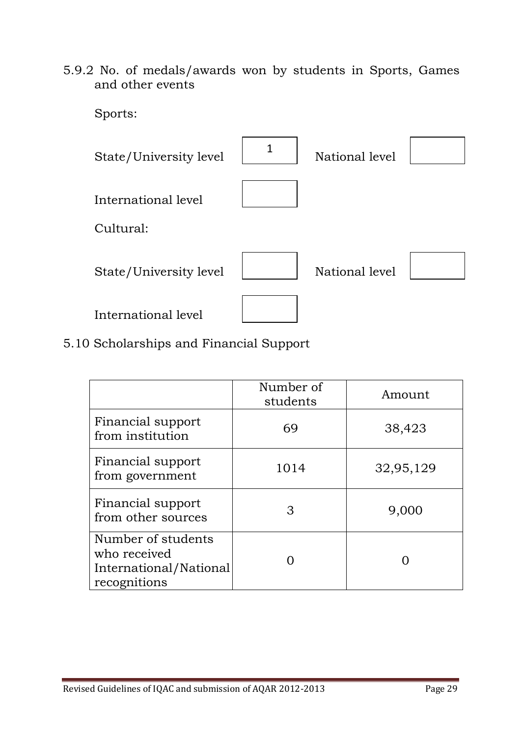5.9.2 No. of medals/awards won by students in Sports, Games and other events



5.10 Scholarships and Financial Support

|                                                                              | Number of<br>students | Amount    |
|------------------------------------------------------------------------------|-----------------------|-----------|
| Financial support<br>from institution                                        | 69                    | 38,423    |
| Financial support<br>from government                                         | 1014                  | 32,95,129 |
| Financial support<br>from other sources                                      | 3                     | 9,000     |
| Number of students<br>who received<br>International/National<br>recognitions |                       |           |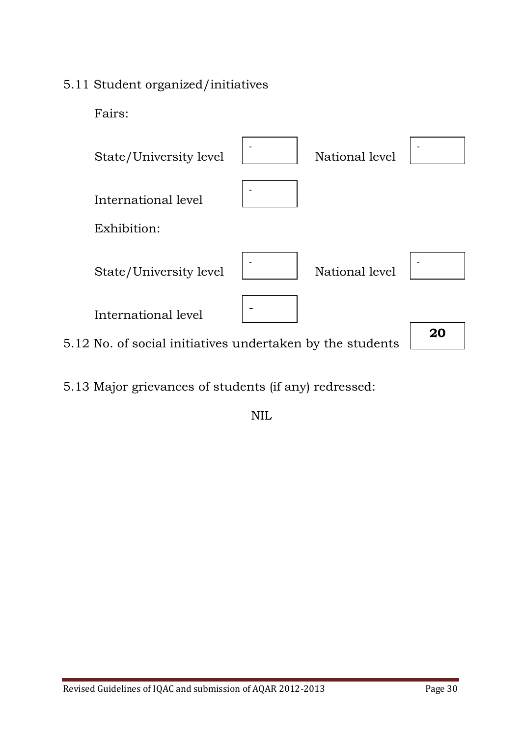## 5.11 Student organized/initiatives

Fairs:



5.13 Major grievances of students (if any) redressed:

NIL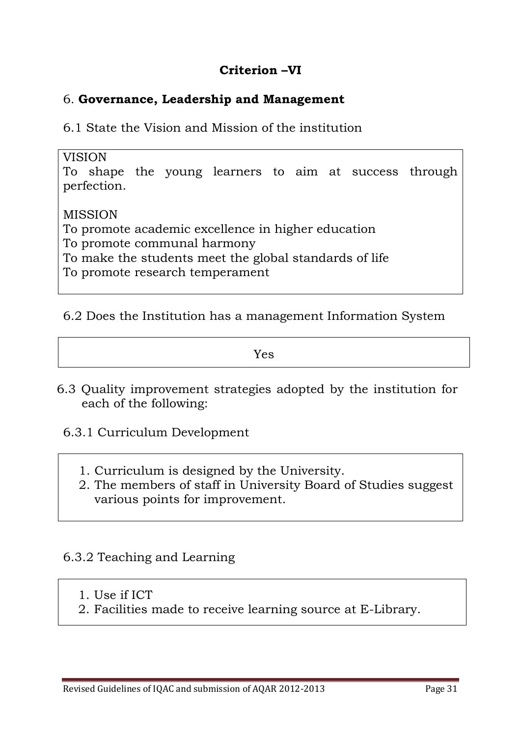#### **Criterion –VI**

#### 6. **Governance, Leadership and Management**

6.1 State the Vision and Mission of the institution

#### VISION

To shape the young learners to aim at success through perfection.

#### MISSION

To promote academic excellence in higher education

To promote communal harmony

To make the students meet the global standards of life

To promote research temperament

#### 6.2 Does the Institution has a management Information System

Yes

- 6.3 Quality improvement strategies adopted by the institution for each of the following:
	- 6.3.1 Curriculum Development
		- 1. Curriculum is designed by the University.
		- 2. The members of staff in University Board of Studies suggest various points for improvement.

## 6.3.2 Teaching and Learning

- 1. Use if ICT
- 2. Facilities made to receive learning source at E-Library.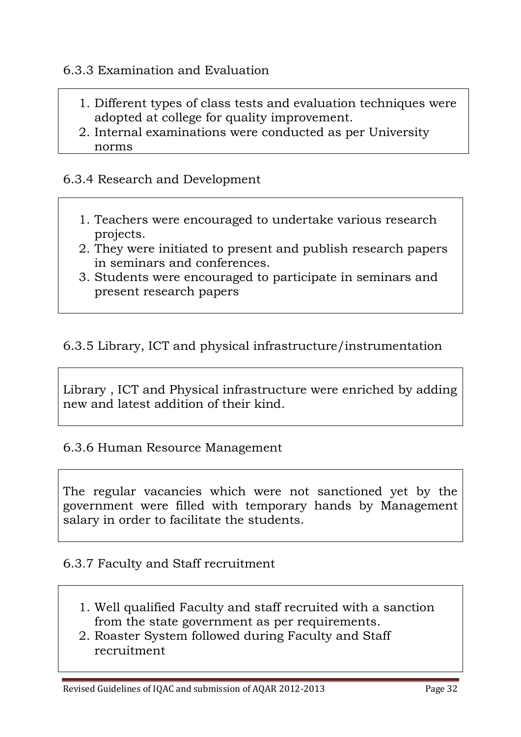#### 6.3.3 Examination and Evaluation

- 1. Different types of class tests and evaluation techniques were adopted at college for quality improvement.
- 2. Internal examinations were conducted as per University norms

#### 6.3.4 Research and Development

- 1. Teachers were encouraged to undertake various research projects.
- 2. They were initiated to present and publish research papers in seminars and conferences.
- 3. Students were encouraged to participate in seminars and present research papers

#### 6.3.5 Library, ICT and physical infrastructure/instrumentation

Library , ICT and Physical infrastructure were enriched by adding new and latest addition of their kind.

#### 6.3.6 Human Resource Management

The regular vacancies which were not sanctioned yet by the government were filled with temporary hands by Management salary in order to facilitate the students.

#### 6.3.7 Faculty and Staff recruitment

- 1. Well qualified Faculty and staff recruited with a sanction from the state government as per requirements.
- 2. Roaster System followed during Faculty and Staff recruitment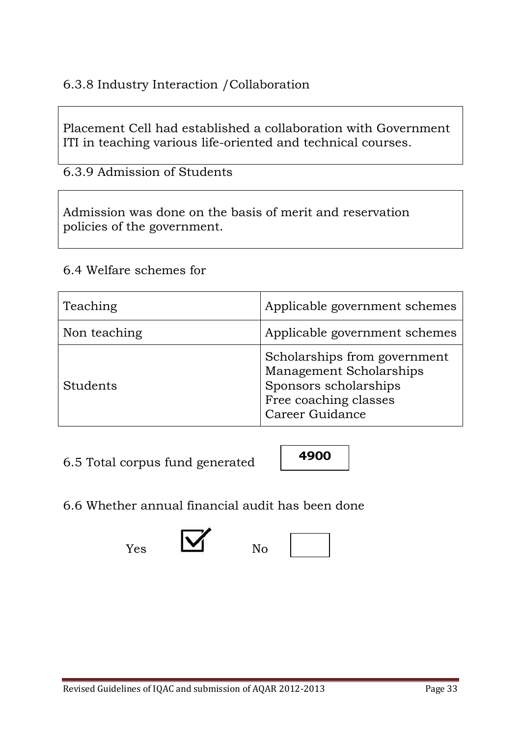## 6.3.8 Industry Interaction /Collaboration

Placement Cell had established a collaboration with Government ITI in teaching various life-oriented and technical courses.

6.3.9 Admission of Students

Admission was done on the basis of merit and reservation policies of the government.

#### 6.4 Welfare schemes for

| Teaching     | Applicable government schemes                                                                                                |
|--------------|------------------------------------------------------------------------------------------------------------------------------|
| Non teaching | Applicable government schemes                                                                                                |
| Students     | Scholarships from government<br>Management Scholarships<br>Sponsors scholarships<br>Free coaching classes<br>Career Guidance |

6.5 Total corpus fund generated



6.6 Whether annual financial audit has been done



 $Y_{\text{es}}$   $\blacksquare$  No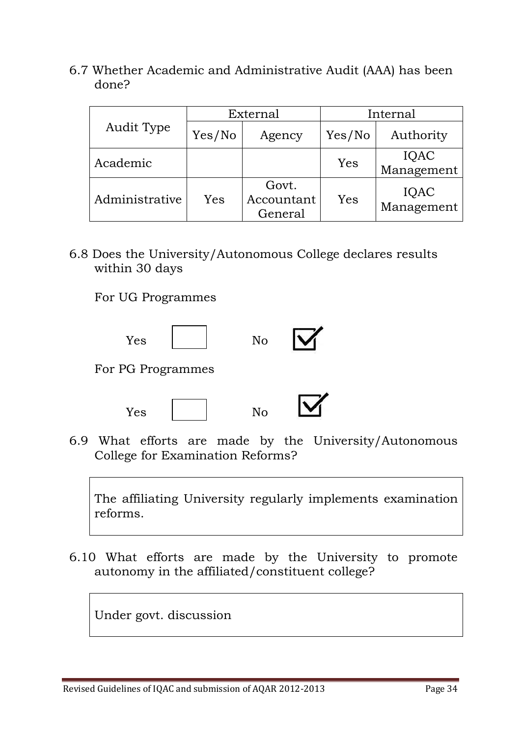6.7 Whether Academic and Administrative Audit (AAA) has been done?

| Audit Type     | External |                                | Internal |                    |
|----------------|----------|--------------------------------|----------|--------------------|
|                | Yes/No   | Agency                         | Yes/No   | Authority          |
| Academic       |          |                                | Yes      | IQAC<br>Management |
| Administrative | Yes      | Govt.<br>Accountant<br>General | Yes      | IQAC<br>Management |

6.8 Does the University/Autonomous College declares results within 30 days

For UG Programmes





6.9 What efforts are made by the University/Autonomous College for Examination Reforms?

The affiliating University regularly implements examination reforms.

6.10 What efforts are made by the University to promote autonomy in the affiliated/constituent college?

Under govt. discussion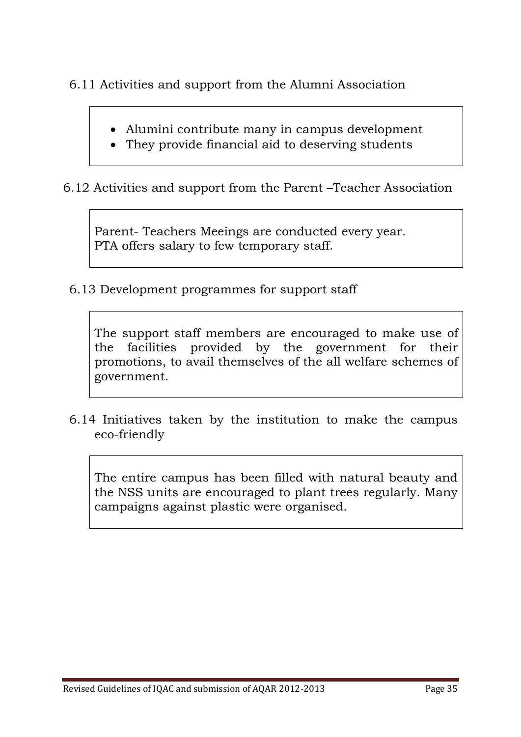6.11 Activities and support from the Alumni Association

- Alumini contribute many in campus development
- They provide financial aid to deserving students

6.12 Activities and support from the Parent –Teacher Association

Parent- Teachers Meeings are conducted every year. PTA offers salary to few temporary staff.

6.13 Development programmes for support staff

The support staff members are encouraged to make use of the facilities provided by the government for their promotions, to avail themselves of the all welfare schemes of government.

6.14 Initiatives taken by the institution to make the campus eco-friendly

The entire campus has been filled with natural beauty and the NSS units are encouraged to plant trees regularly. Many campaigns against plastic were organised.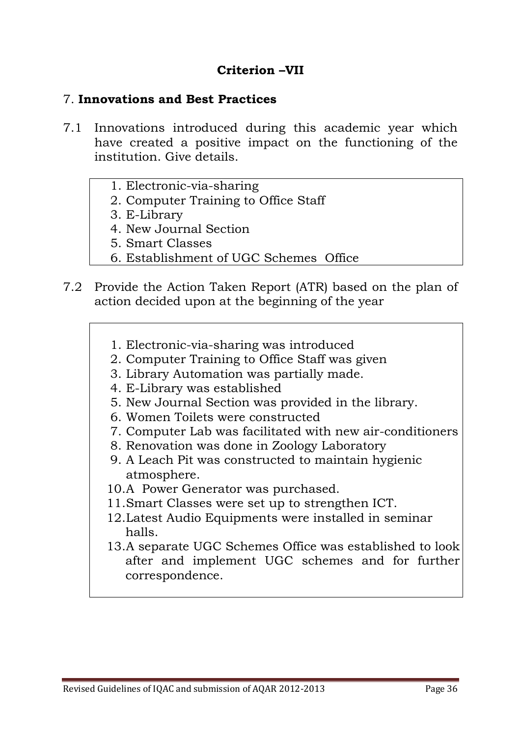#### **Criterion –VII**

#### 7. **Innovations and Best Practices**

- 7.1 Innovations introduced during this academic year which have created a positive impact on the functioning of the institution. Give details.
	- 1. Electronic-via-sharing
	- 2. Computer Training to Office Staff
	- 3. E-Library
	- 4. New Journal Section
	- 5. Smart Classes
	- 6. Establishment of UGC Schemes Office
- 7.2 Provide the Action Taken Report (ATR) based on the plan of action decided upon at the beginning of the year
	- 1. Electronic-via-sharing was introduced
	- 2. Computer Training to Office Staff was given
	- 3. Library Automation was partially made.
	- 4. E-Library was established
	- 5. New Journal Section was provided in the library.
	- 6. Women Toilets were constructed
	- 7. Computer Lab was facilitated with new air-conditioners
	- 8. Renovation was done in Zoology Laboratory
	- 9. A Leach Pit was constructed to maintain hygienic atmosphere.
	- 10.A Power Generator was purchased.
	- 11.Smart Classes were set up to strengthen ICT.
	- 12.Latest Audio Equipments were installed in seminar halls.
	- 13.A separate UGC Schemes Office was established to look after and implement UGC schemes and for further correspondence.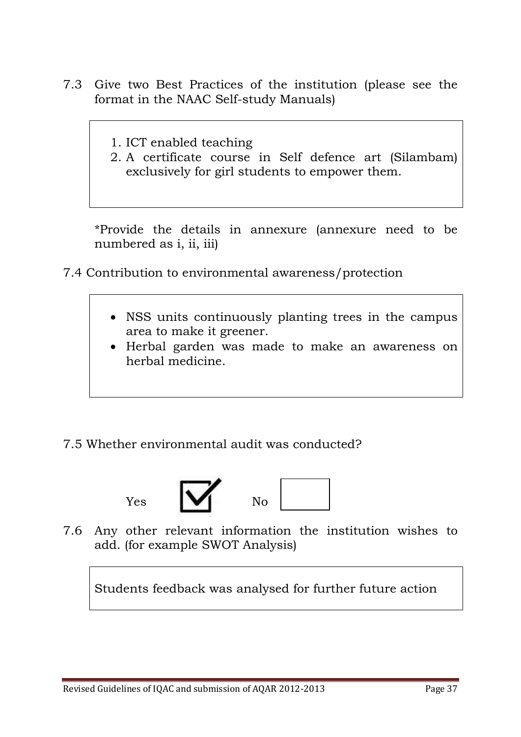- 7.3 Give two Best Practices of the institution (please see the format in the NAAC Self-study Manuals)
	- 1. ICT enabled teaching
	- 2. A certificate course in Self defence art (Silambam) exclusively for girl students to empower them.

\*Provide the details in annexure (annexure need to be numbered as i, ii, iii)

- 7.4 Contribution to environmental awareness/protection
	- NSS units continuously planting trees in the campus area to make it greener.
	- Herbal garden was made to make an awareness on herbal medicine.

## 7.5 Whether environmental audit was conducted?



7.6 Any other relevant information the institution wishes to add. (for example SWOT Analysis)

Students feedback was analysed for further future action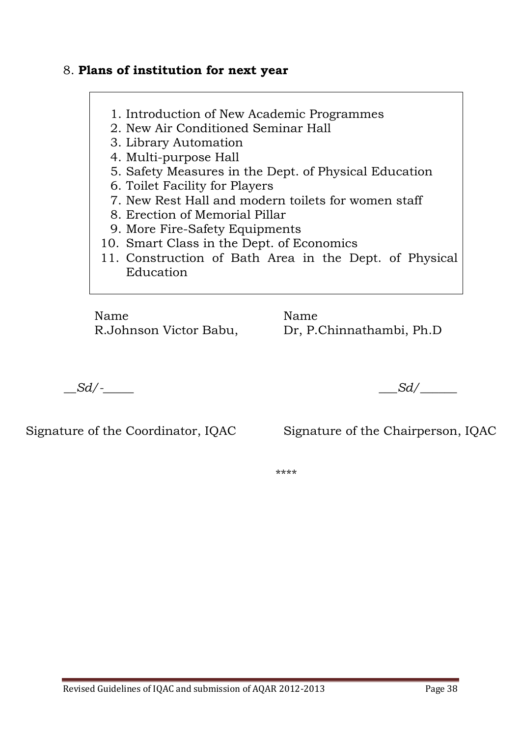#### 8. **Plans of institution for next year**

- 1. Introduction of New Academic Programmes
- 2. New Air Conditioned Seminar Hall
- 3. Library Automation
- 4. Multi-purpose Hall
- 5. Safety Measures in the Dept. of Physical Education
- 6. Toilet Facility for Players
- 7. New Rest Hall and modern toilets for women staff
- 8. Erection of Memorial Pillar
- 9. More Fire-Safety Equipments
- 10. Smart Class in the Dept. of Economics
- 11. Construction of Bath Area in the Dept. of Physical Education

Name Name

R.Johnson Victor Babu, Dr, P.Chinnathambi, Ph.D

*\_\_Sd/-\_\_\_\_\_ \_\_\_Sd/\_\_\_\_\_\_*

Signature of the Coordinator, IQAC Signature of the Chairperson, IQAC

\*\*\*\*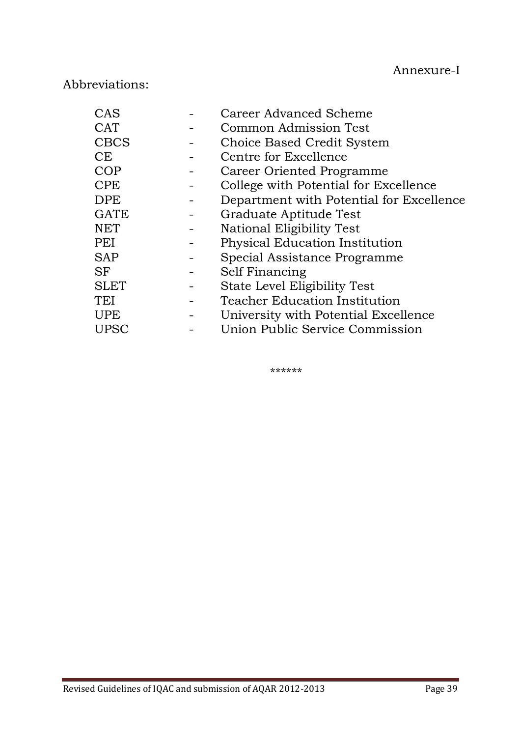## Abbreviations:

| CAS         | Career Advanced Scheme                   |
|-------------|------------------------------------------|
| <b>CAT</b>  | Common Admission Test                    |
| <b>CBCS</b> | Choice Based Credit System               |
| CE          | Centre for Excellence                    |
| <b>COP</b>  | Career Oriented Programme                |
| <b>CPE</b>  | College with Potential for Excellence    |
| <b>DPE</b>  | Department with Potential for Excellence |
| <b>GATE</b> | Graduate Aptitude Test                   |
| <b>NET</b>  | National Eligibility Test                |
| PEI         | Physical Education Institution           |
| <b>SAP</b>  | Special Assistance Programme             |
| SF          | Self Financing                           |
| <b>SLET</b> | State Level Eligibility Test             |
| TEI         | <b>Teacher Education Institution</b>     |
| <b>UPE</b>  | University with Potential Excellence     |
| <b>UPSC</b> | Union Public Service Commission          |

\*\*\*\*\*\*